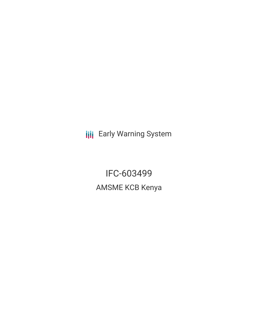**III** Early Warning System

IFC-603499 AMSME KCB Kenya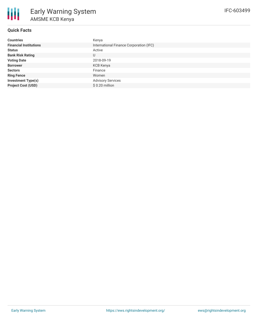

## **Quick Facts**

| <b>Countries</b>              | Kenya                                   |
|-------------------------------|-----------------------------------------|
| <b>Financial Institutions</b> | International Finance Corporation (IFC) |
| <b>Status</b>                 | Active                                  |
| <b>Bank Risk Rating</b>       | U                                       |
| <b>Voting Date</b>            | 2018-09-19                              |
| <b>Borrower</b>               | KCB Kenya                               |
| <b>Sectors</b>                | Finance                                 |
| <b>Ring Fence</b>             | Women                                   |
| <b>Investment Type(s)</b>     | <b>Advisory Services</b>                |
| <b>Project Cost (USD)</b>     | $$0.20$ million                         |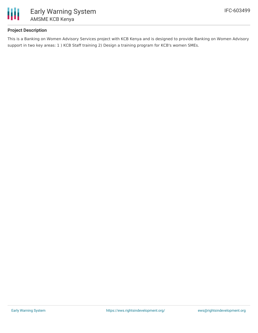

# **Project Description**

This is a Banking on Women Advisory Services project with KCB Kenya and is designed to provide Banking on Women Advisory support in two key areas: 1 ) KCB Staff training 2) Design a training program for KCB's women SMEs.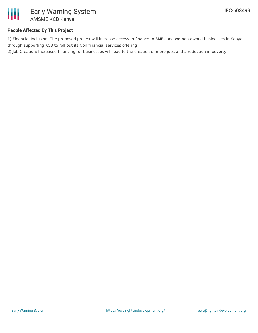

# **People Affected By This Project**

1) Financial Inclusion: The proposed project will increase access to finance to SMEs and women-owned businesses in Kenya through supporting KCB to roll out its Non financial services offering

2) Job Creation: Increased financing for businesses will lead to the creation of more jobs and a reduction in poverty.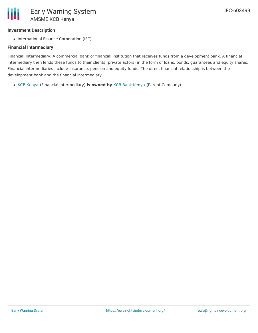### **Investment Description**

• International Finance Corporation (IFC)

### **Financial Intermediary**

Financial Intermediary: A commercial bank or financial institution that receives funds from a development bank. A financial intermediary then lends these funds to their clients (private actors) in the form of loans, bonds, guarantees and equity shares. Financial intermediaries include insurance, pension and equity funds. The direct financial relationship is between the development bank and the financial intermediary.

KCB [Kenya](file:///actor/4062/) (Financial Intermediary) **is owned by** KCB Bank [Kenya](file:///actor/4061/) (Parent Company)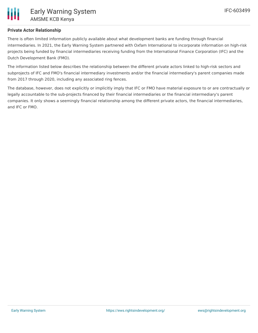

## **Private Actor Relationship**

There is often limited information publicly available about what development banks are funding through financial intermediaries. In 2021, the Early Warning System partnered with Oxfam International to incorporate information on high-risk projects being funded by financial intermediaries receiving funding from the International Finance Corporation (IFC) and the Dutch Development Bank (FMO).

The information listed below describes the relationship between the different private actors linked to high-risk sectors and subprojects of IFC and FMO's financial intermediary investments and/or the financial intermediary's parent companies made from 2017 through 2020, including any associated ring fences.

The database, however, does not explicitly or implicitly imply that IFC or FMO have material exposure to or are contractually or legally accountable to the sub-projects financed by their financial intermediaries or the financial intermediary's parent companies. It only shows a seemingly financial relationship among the different private actors, the financial intermediaries, and IFC or FMO.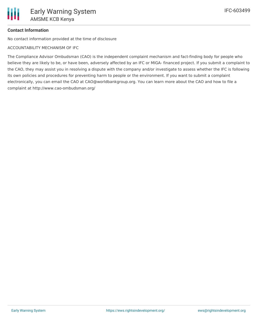# **Contact Information**

No contact information provided at the time of disclosure

ACCOUNTABILITY MECHANISM OF IFC

The Compliance Advisor Ombudsman (CAO) is the independent complaint mechanism and fact-finding body for people who believe they are likely to be, or have been, adversely affected by an IFC or MIGA- financed project. If you submit a complaint to the CAO, they may assist you in resolving a dispute with the company and/or investigate to assess whether the IFC is following its own policies and procedures for preventing harm to people or the environment. If you want to submit a complaint electronically, you can email the CAO at CAO@worldbankgroup.org. You can learn more about the CAO and how to file a complaint at http://www.cao-ombudsman.org/